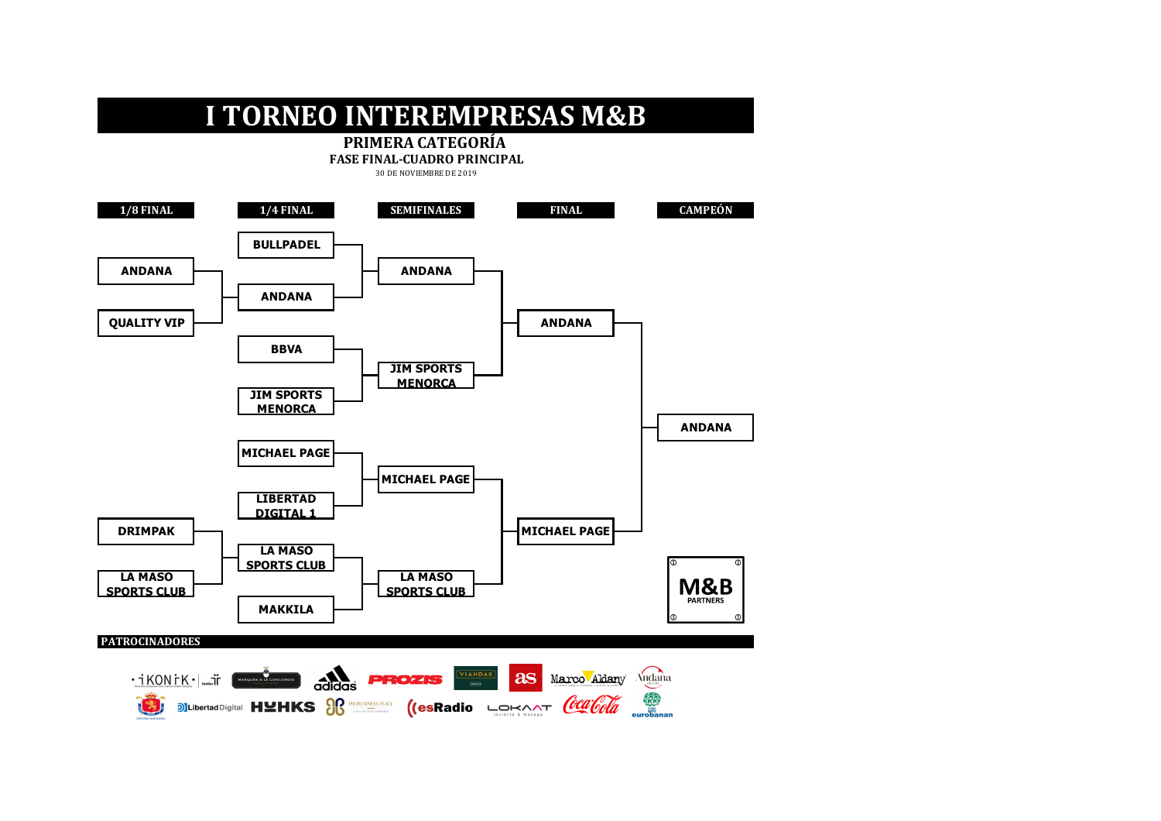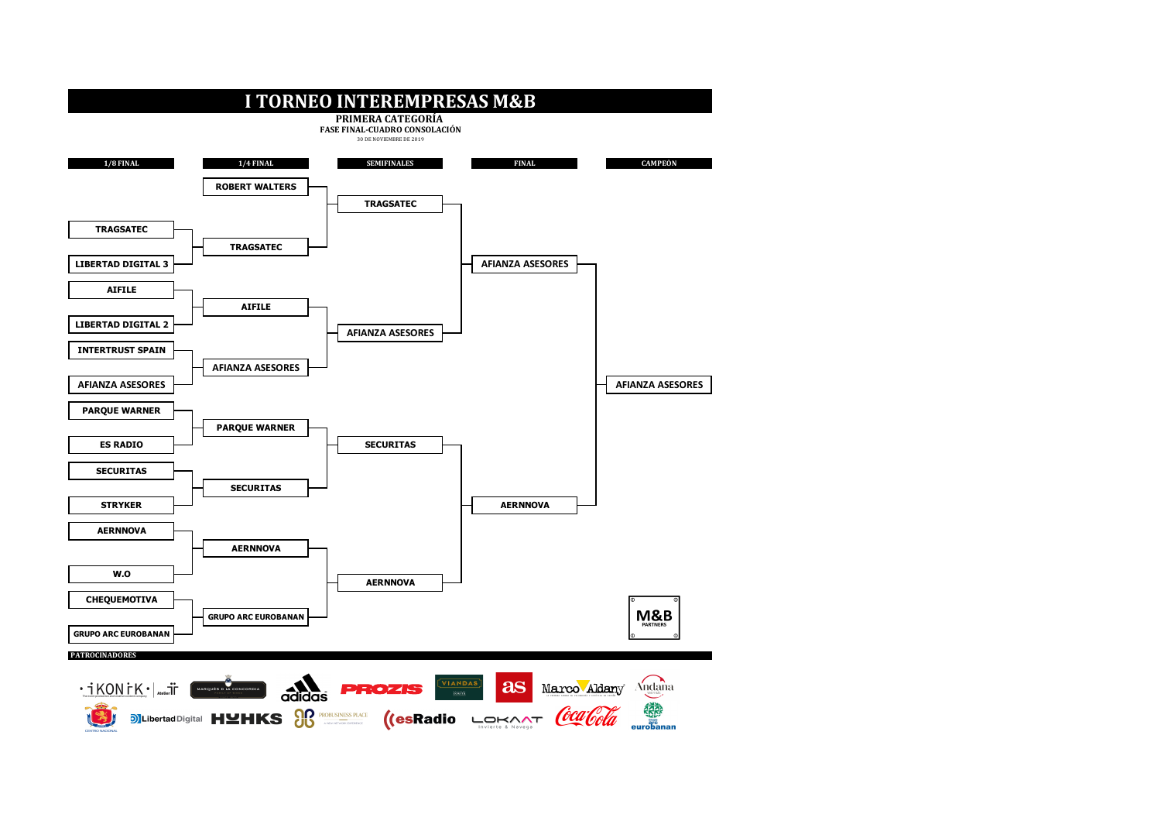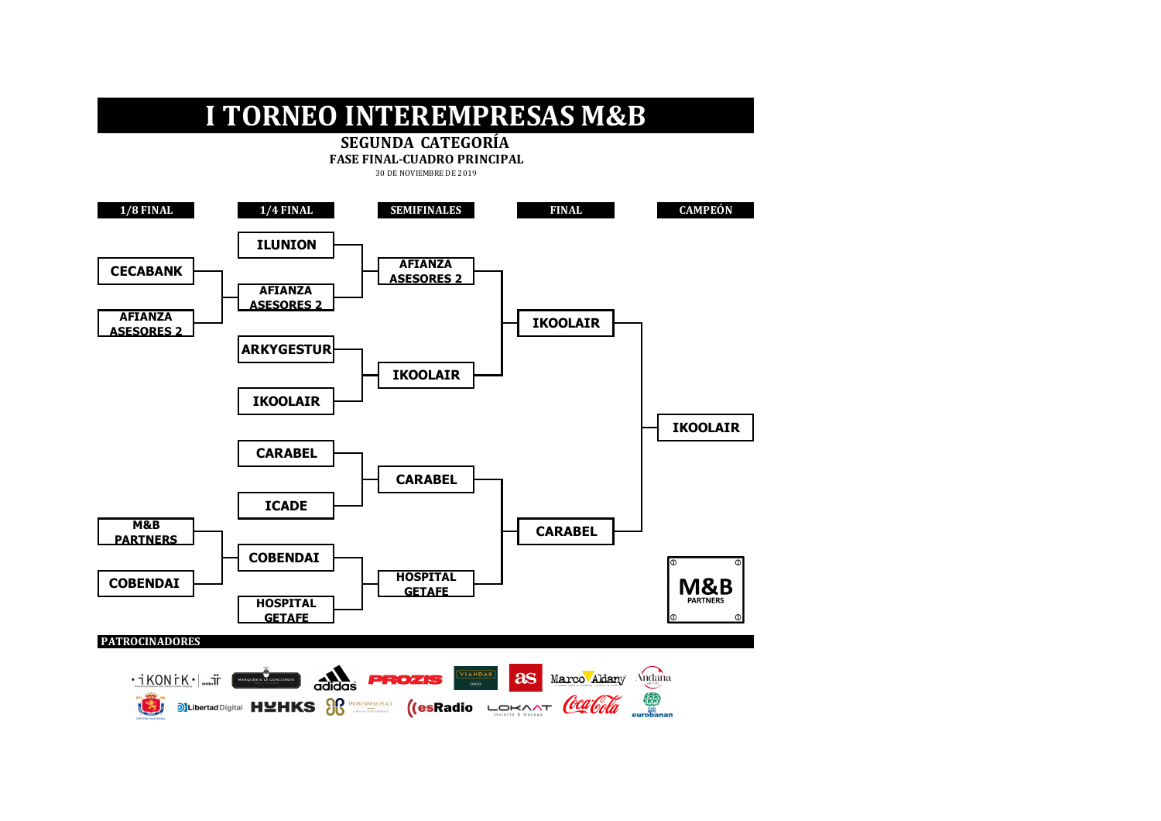